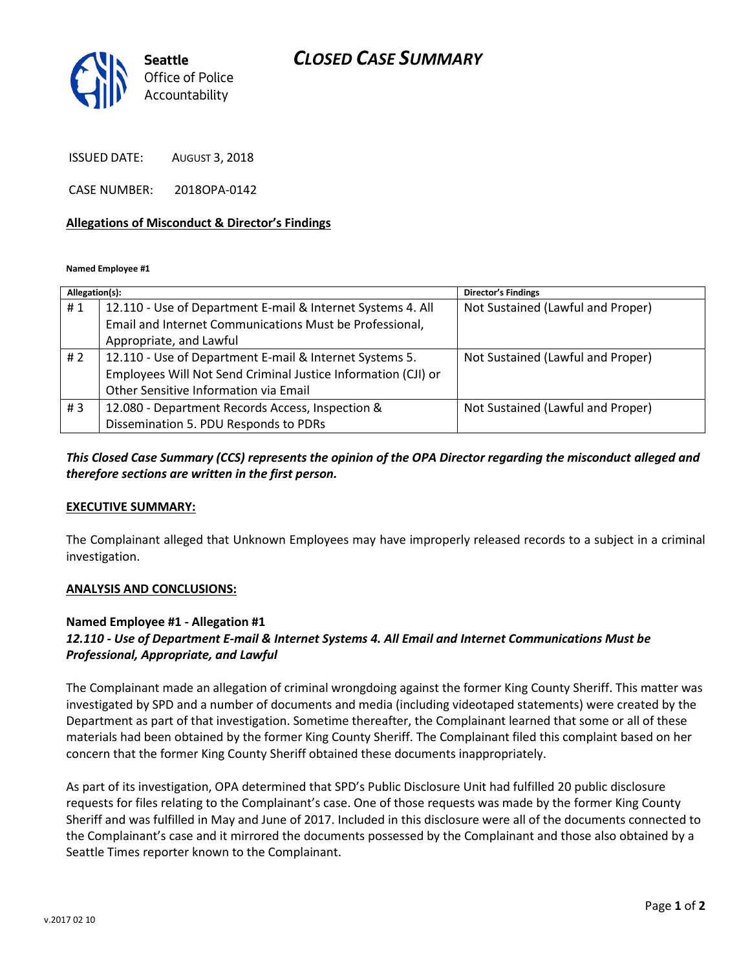# *CLOSED CASE SUMMARY*



ISSUED DATE: AUGUST 3, 2018

CASE NUMBER: 2018OPA-0142

#### **Allegations of Misconduct & Director's Findings**

**Named Employee #1**

| Allegation(s): |                                                               | <b>Director's Findings</b>        |
|----------------|---------------------------------------------------------------|-----------------------------------|
| #1             | 12.110 - Use of Department E-mail & Internet Systems 4. All   | Not Sustained (Lawful and Proper) |
|                | Email and Internet Communications Must be Professional,       |                                   |
|                | Appropriate, and Lawful                                       |                                   |
| #2             | 12.110 - Use of Department E-mail & Internet Systems 5.       | Not Sustained (Lawful and Proper) |
|                | Employees Will Not Send Criminal Justice Information (CJI) or |                                   |
|                | Other Sensitive Information via Email                         |                                   |
| #3             | 12.080 - Department Records Access, Inspection &              | Not Sustained (Lawful and Proper) |
|                | Dissemination 5. PDU Responds to PDRs                         |                                   |

## *This Closed Case Summary (CCS) represents the opinion of the OPA Director regarding the misconduct alleged and therefore sections are written in the first person.*

#### **EXECUTIVE SUMMARY:**

The Complainant alleged that Unknown Employees may have improperly released records to a subject in a criminal investigation.

#### **ANALYSIS AND CONCLUSIONS:**

### **Named Employee #1 - Allegation #1**

## *12.110 - Use of Department E-mail & Internet Systems 4. All Email and Internet Communications Must be Professional, Appropriate, and Lawful*

The Complainant made an allegation of criminal wrongdoing against the former King County Sheriff. This matter was investigated by SPD and a number of documents and media (including videotaped statements) were created by the Department as part of that investigation. Sometime thereafter, the Complainant learned that some or all of these materials had been obtained by the former King County Sheriff. The Complainant filed this complaint based on her concern that the former King County Sheriff obtained these documents inappropriately.

As part of its investigation, OPA determined that SPD's Public Disclosure Unit had fulfilled 20 public disclosure requests for files relating to the Complainant's case. One of those requests was made by the former King County Sheriff and was fulfilled in May and June of 2017. Included in this disclosure were all of the documents connected to the Complainant's case and it mirrored the documents possessed by the Complainant and those also obtained by a Seattle Times reporter known to the Complainant.